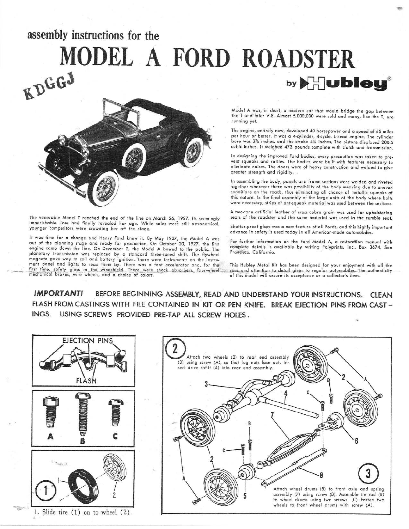## assembly instructions for the MODEL A FORD ROADSTER by **bieu**®



The venerable Model T reached the end of the line on March 26, 1927. Its seemingly imperishable lines had finally revealed her age. While sales were still astronomical, younger competitors were crowding her off the stage.

It was time for a change and Henry Ford knew it. By May 1927, the Model A was out of the planning stage and ready for production. On October 20, 1927, the first engine came down the line. On December 2, the Model A bowed to the public. The planetary transmission was replaced by a standard three-speed shift. The flywheel magneto gave way to coil and battery ignition. There were instruments on the instrument panel and lights to read them by. There was a foot accelerator and, for the<br>first time, safety glass in the windshield. There were shock absorbers, four-wheel<br>mechanical brakes, wire wheels, and a choice of colors. Model A was, in short, a modern car that would bridge the gap between the T and later V-8. Almost 5,000,000 were sold and many, like the T, are running yet.

The engine, entirely new, developed 40 horsepower and a speed of 65 miles per hour or better. It was a 4-cylinder, 4-cycle, L-head engine. The cylinder .<br>bore was 3% inches, and the stroke 4½ inches, The pistons displaced 200.5 cubic inches. It weighed 473 pounds complete with clutch and transmission.

In designing the improved Ford bodies, every precaution was taken to prevent squeaks and rattles. The bodies were built with features necessary to eliminate noises. The doors were of heavy construction and welded to give greater strength and rigidity.

In assembling the body, panels and frame sections were welded and riveted together wherever there was possibility of the body weaving due to uneven conditions on the roads, thus eliminating all chance of metallic squeaks of this nature. In the final assembly of the large units of the body where bolts were necessary, strips of ant-squeak material was used between the sections.

A two-tone artificial leather of cross cobra grain was used for upholstering seats of the roadster and the same material was used in the rumble seat.

Shatter-proof glass was a new feature of all Fords, and this highly important advance in safety is used today in all American-made automobiles.

For further information on the Ford Model A, a restoration manual with complete details is available by writing Polyprints, Inc., Box 3674, San Francisco, California.

This Hubley Metal Kit has been designed for your enjoyment with all the care and attention to detail given to regular automobiles. The authenticity of this model will assure its acceptance as a collector's item.

IMPORTANT! BEFORE BEGINNING ASSEMBLY, READ AND UNDERSTAND YOUR INSTRUCTIONS. CLEAN FLASH FROM CASTINGS WITH FILE CONTAINED IN KIT OR PEN KNIFE. BREAK EJECTION PINS FROM CAST-INGS. USING SCREWS PROVIDED PRE-TAP ALL SCREW HOLES.

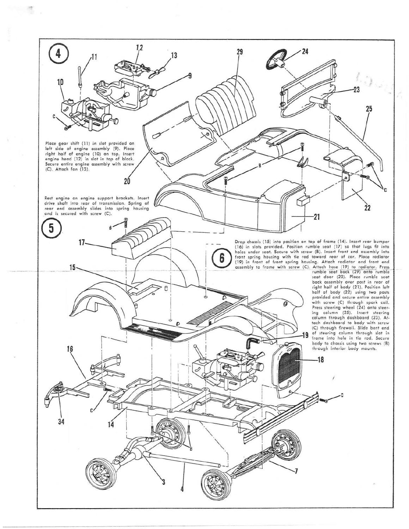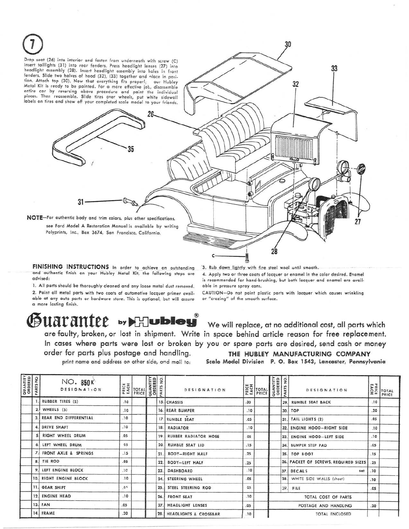

FINISHING INSTRUCTIONS in order to achieve an outstanding and authentic finish on your Hubley Metal Kit, the following steps are odvied:

1. All parts should be thoroughly cleaned and any loose metal dust removed. 2. Paint all metal parts with two coats of automotive lacquer primer available at any auto parts or hardware store. This is optional, but will assure o more losting finish.

3. Rub down lightly with fine steel wool until smooth. 4. Apply two or three coats of lacquer or enamel in the color desired. Enamel

is recommended for hand-brushing, but both lacquer and enamel are available in pressure spray cans.

CAUTION-Do not paint plastic parts with lacquer which causes wrinkling or "crazing" of the smooth surface.

## ${\bf \mathfrak{B}}$ UALANICE by  $\mathbb{H}$ Ubley  $\text{ }\text{ }\text{ }$  We will replace, at no additional cost, all parts which

are faulty, broken, or lost in shipment. Write in space behind article reason for free replacement. In cases where parts were lost or broken by you or spare parts are desired, send cash or money order for parts plus postage and handling.<br>
print name and address on other side, and mail to: Scale Model Division P. O. Box 1543, Lancaster, Pennsylv

Scale Model Division P. O. Box 1543, Lancaster, Pennsylvania

| <b>QUANTITY</b><br>ORDERED | PARTS NO | NO. 850K<br><b>DESIGNATION</b> | PRICE<br>EACH | TOTAL<br>PRICE | QUANTITY<br>ORDERED | $\frac{1}{2}$<br>RTS<br>$\tilde{A}$ | DESIGNATION                      |     | <b>MEN</b><br><b>EXP</b><br><b>EXPRICE</b> | QUANTITY<br>ORDERED<br>PARTS NO. |      | DESIGNATION                          |     | $\left  \begin{array}{c} \n 3 & \text{m} \\ \n 2 & \text{m} \\ \n 3 & \text{m} \\ \n 4 & \text{m} \end{array} \right $<br>PRICE |
|----------------------------|----------|--------------------------------|---------------|----------------|---------------------|-------------------------------------|----------------------------------|-----|--------------------------------------------|----------------------------------|------|--------------------------------------|-----|---------------------------------------------------------------------------------------------------------------------------------|
|                            |          | RUBBER TIRES (5)               | .10           |                |                     |                                     | 15. CHASSIS                      | .30 |                                            |                                  | 29.  | <b>RUMBLE SEAT BACK</b>              | .10 |                                                                                                                                 |
|                            | 2.1      | WHEELS (5)                     | .10           |                |                     |                                     | 16. REAR BUMPER                  | .10 |                                            |                                  |      | 30. TOP                              | .20 |                                                                                                                                 |
|                            |          | 3. REAR END DIFFERENTIAL       | .10           |                |                     |                                     | 17. RUMBLE SEAT                  | .05 |                                            |                                  |      | 31. TAIL LIGHTS (2)                  | .05 |                                                                                                                                 |
|                            |          | DRIVE SHAFT                    | .10           |                |                     |                                     | 18. RADIATOR                     | .10 |                                            |                                  |      | 32. ENGINE HOOD-RIGHT SIDE           | .10 |                                                                                                                                 |
|                            |          | RIGHT WHEEL DRUM               | .05           |                |                     |                                     | <b>RUBBER RADIATOR HOSE</b>      | 05  |                                            |                                  | 33.1 | <b>ENGINE HOOD-LEFT SIDE</b>         | .10 |                                                                                                                                 |
|                            | 6.       | LEFT WHEEL DRUM                | 05            |                |                     | 20                                  | RUMBLE SEAT LID                  | .15 |                                            |                                  |      | 34. BUMPER STEP PAD                  | .05 |                                                                                                                                 |
|                            |          | 7. FRONT AXLE & SPRINGS        | .15           |                |                     | 21                                  | <b>BODY-RIGHT HALF</b>           | .25 |                                            |                                  |      | 35. TOP BOOT                         | .15 |                                                                                                                                 |
|                            |          | 8. TIE ROD                     | .05           |                |                     | 22.                                 | <b>BODY-LEFT HALF</b>            | .25 |                                            |                                  |      | 36. PACKET OF SCREWS, REQUIRED SIZES | .25 |                                                                                                                                 |
|                            |          | 9. LEFT ENGINE BLOCK           | .10           |                |                     | 23                                  | <b>DASHBOARD</b>                 | 10  |                                            |                                  |      | 37. DECALS<br>set                    | .10 |                                                                                                                                 |
|                            |          | 10. RIGHT ENGINE BLOCK         | .10           |                |                     | 24.                                 | STEERING WHEEL                   | .05 |                                            |                                  | 38.  | WHITE SIDE WALLS (sheet)             | .10 |                                                                                                                                 |
|                            |          | 11. GEAR SHIFT                 | 05            |                |                     | 25                                  | STEEL STEERING ROD               | 05  |                                            |                                  | 39.  | FILE                                 | .05 |                                                                                                                                 |
|                            |          | <b>12. ENGINE HEAD</b>         | .10           |                |                     | 26                                  | <b>FRONT SEAT</b>                | .10 |                                            |                                  |      | TOTAL COST OF PARTS                  |     |                                                                                                                                 |
|                            |          | 13. FAN                        | .05           |                |                     | 27                                  | <b>HEADLIGHT LENSES</b>          | .05 |                                            |                                  |      | POSTAGE AND HANDLING                 | .20 |                                                                                                                                 |
|                            |          | 14. FRAME                      | .20.          |                |                     | 28.                                 | <b>HEADLIGHTS &amp; CROSSBAR</b> | .10 |                                            |                                  |      | <b>TOTAL ENCLOSED</b>                |     |                                                                                                                                 |